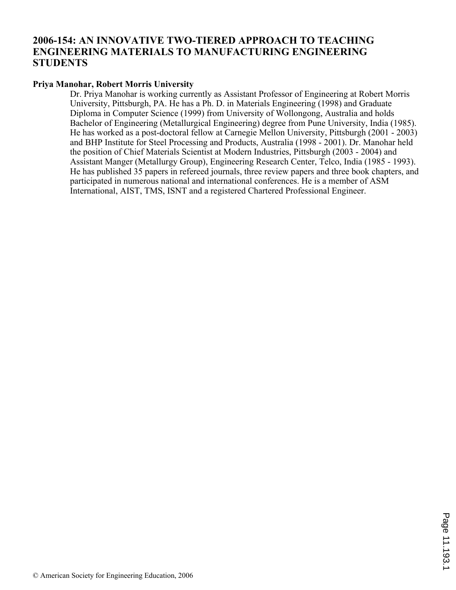## **2006-154: AN INNOVATIVE TWO-TIERED APPROACH TO TEACHING ENGINEERING MATERIALS TO MANUFACTURING ENGINEERING STUDENTS**

### **Priya Manohar, Robert Morris University**

Dr. Priya Manohar is working currently as Assistant Professor of Engineering at Robert Morris University, Pittsburgh, PA. He has a Ph. D. in Materials Engineering (1998) and Graduate Diploma in Computer Science (1999) from University of Wollongong, Australia and holds Bachelor of Engineering (Metallurgical Engineering) degree from Pune University, India (1985). He has worked as a post-doctoral fellow at Carnegie Mellon University, Pittsburgh (2001 - 2003) and BHP Institute for Steel Processing and Products, Australia (1998 - 2001). Dr. Manohar held the position of Chief Materials Scientist at Modern Industries, Pittsburgh (2003 - 2004) and Assistant Manger (Metallurgy Group), Engineering Research Center, Telco, India (1985 - 1993). He has published 35 papers in refereed journals, three review papers and three book chapters, and participated in numerous national and international conferences. He is a member of ASM International, AIST, TMS, ISNT and a registered Chartered Professional Engineer.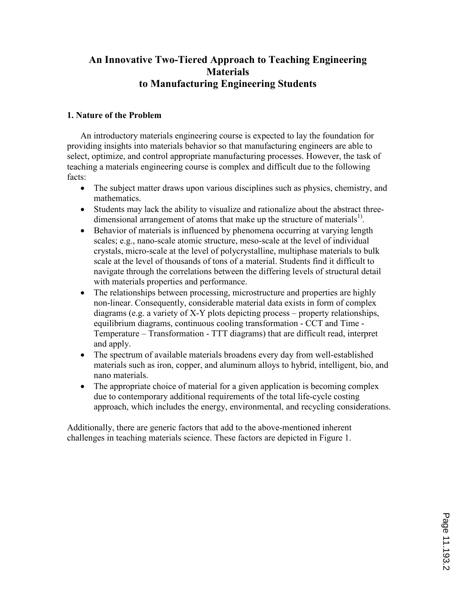# An Innovative Two-Tiered Approach to Teaching Engineering **Materials** to Manufacturing Engineering Students

## 1. Nature of the Problem

An introductory materials engineering course is expected to lay the foundation for providing insights into materials behavior so that manufacturing engineers are able to select, optimize, and control appropriate manufacturing processes. However, the task of teaching a materials engineering course is complex and difficult due to the following facts:

- The subject matter draws upon various disciplines such as physics, chemistry, and mathematics.
- Students may lack the ability to visualize and rationalize about the abstract threedimensional arrangement of atoms that make up the structure of materials<sup>1)</sup>.
- Behavior of materials is influenced by phenomena occurring at varying length scales; e.g., nano-scale atomic structure, meso-scale at the level of individual crystals, micro-scale at the level of polycrystalline, multiphase materials to bulk scale at the level of thousands of tons of a material. Students find it difficult to navigate through the correlations between the differing levels of structural detail with materials properties and performance.
- The relationships between processing, microstructure and properties are highly non-linear. Consequently, considerable material data exists in form of complex diagrams (e.g. a variety of X-Y plots depicting process – property relationships, equilibrium diagrams, continuous cooling transformation - CCT and Time - Temperature – Transformation - TTT diagrams) that are difficult read, interpret and apply.
- The spectrum of available materials broadens every day from well-established materials such as iron, copper, and aluminum alloys to hybrid, intelligent, bio, and nano materials.
- The appropriate choice of material for a given application is becoming complex due to contemporary additional requirements of the total life-cycle costing approach, which includes the energy, environmental, and recycling considerations.

Additionally, there are generic factors that add to the above-mentioned inherent challenges in teaching materials science. These factors are depicted in Figure 1.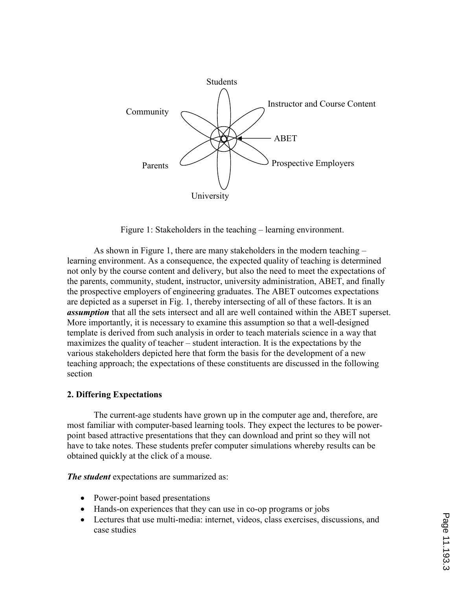

Figure 1: Stakeholders in the teaching – learning environment.

As shown in Figure 1, there are many stakeholders in the modern teaching – learning environment. As a consequence, the expected quality of teaching is determined not only by the course content and delivery, but also the need to meet the expectations of the parents, community, student, instructor, university administration, ABET, and finally the prospective employers of engineering graduates. The ABET outcomes expectations are depicted as a superset in Fig. 1, thereby intersecting of all of these factors. It is an assumption that all the sets intersect and all are well contained within the ABET superset. More importantly, it is necessary to examine this assumption so that a well-designed template is derived from such analysis in order to teach materials science in a way that maximizes the quality of teacher – student interaction. It is the expectations by the various stakeholders depicted here that form the basis for the development of a new teaching approach; the expectations of these constituents are discussed in the following section

#### 2. Differing Expectations

The current-age students have grown up in the computer age and, therefore, are most familiar with computer-based learning tools. They expect the lectures to be powerpoint based attractive presentations that they can download and print so they will not have to take notes. These students prefer computer simulations whereby results can be obtained quickly at the click of a mouse.

The student expectations are summarized as:

- Power-point based presentations
- Hands-on experiences that they can use in co-op programs or jobs
- Lectures that use multi-media: internet, videos, class exercises, discussions, and case studies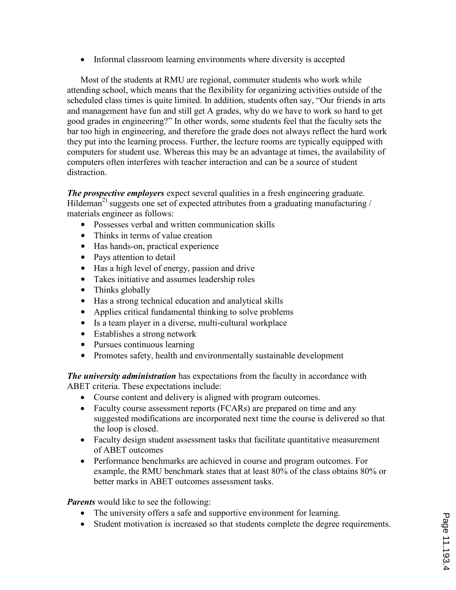• Informal classroom learning environments where diversity is accepted

Most of the students at RMU are regional, commuter students who work while attending school, which means that the flexibility for organizing activities outside of the scheduled class times is quite limited. In addition, students often say, "Our friends in arts and management have fun and still get A grades, why do we have to work so hard to get good grades in engineering?" In other words, some students feel that the faculty sets the bar too high in engineering, and therefore the grade does not always reflect the hard work they put into the learning process. Further, the lecture rooms are typically equipped with computers for student use. Whereas this may be an advantage at times, the availability of computers often interferes with teacher interaction and can be a source of student distraction.

The prospective employers expect several qualities in a fresh engineering graduate. Hildeman<sup>2)</sup> suggests one set of expected attributes from a graduating manufacturing / materials engineer as follows:

- Possesses verbal and written communication skills
- Thinks in terms of value creation
- Has hands-on, practical experience
- Pays attention to detail
- Has a high level of energy, passion and drive
- Takes initiative and assumes leadership roles
- Thinks globally
- Has a strong technical education and analytical skills
- Applies critical fundamental thinking to solve problems
- Is a team player in a diverse, multi-cultural workplace
- Establishes a strong network
- Pursues continuous learning
- Promotes safety, health and environmentally sustainable development

The university administration has expectations from the faculty in accordance with ABET criteria. These expectations include:

- Course content and delivery is aligned with program outcomes.
- Faculty course assessment reports (FCARs) are prepared on time and any suggested modifications are incorporated next time the course is delivered so that the loop is closed.
- Faculty design student assessment tasks that facilitate quantitative measurement of ABET outcomes
- Performance benchmarks are achieved in course and program outcomes. For example, the RMU benchmark states that at least 80% of the class obtains 80% or better marks in ABET outcomes assessment tasks.

**Parents** would like to see the following:

- The university offers a safe and supportive environment for learning.
- Student motivation is increased so that students complete the degree requirements.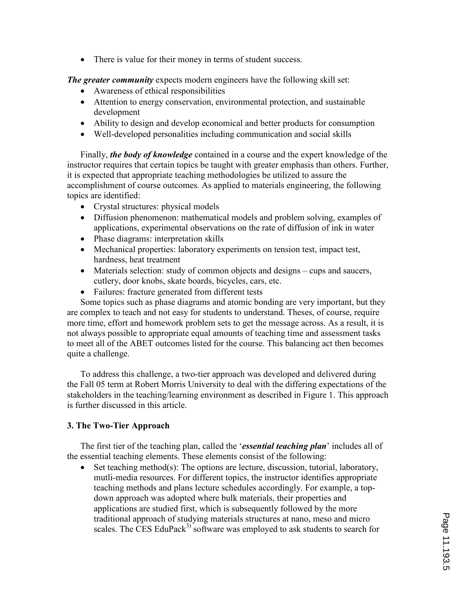• There is value for their money in terms of student success.

**The greater community** expects modern engineers have the following skill set:

- Awareness of ethical responsibilities
- Attention to energy conservation, environmental protection, and sustainable development
- Ability to design and develop economical and better products for consumption
- Well-developed personalities including communication and social skills

Finally, *the body of knowledge* contained in a course and the expert knowledge of the instructor requires that certain topics be taught with greater emphasis than others. Further, it is expected that appropriate teaching methodologies be utilized to assure the accomplishment of course outcomes. As applied to materials engineering, the following topics are identified:

- Crystal structures: physical models
- Diffusion phenomenon: mathematical models and problem solving, examples of applications, experimental observations on the rate of diffusion of ink in water
- Phase diagrams: interpretation skills
- Mechanical properties: laboratory experiments on tension test, impact test, hardness, heat treatment
- Materials selection: study of common objects and designs cups and saucers, cutlery, door knobs, skate boards, bicycles, cars, etc.
- Failures: fracture generated from different tests

Some topics such as phase diagrams and atomic bonding are very important, but they are complex to teach and not easy for students to understand. Theses, of course, require more time, effort and homework problem sets to get the message across. As a result, it is not always possible to appropriate equal amounts of teaching time and assessment tasks to meet all of the ABET outcomes listed for the course. This balancing act then becomes quite a challenge.

To address this challenge, a two-tier approach was developed and delivered during the Fall 05 term at Robert Morris University to deal with the differing expectations of the stakeholders in the teaching/learning environment as described in Figure 1. This approach is further discussed in this article.

#### 3. The Two-Tier Approach

The first tier of the teaching plan, called the '*essential teaching plan*' includes all of the essential teaching elements. These elements consist of the following:

• Set teaching method(s): The options are lecture, discussion, tutorial, laboratory, mutli-media resources. For different topics, the instructor identifies appropriate teaching methods and plans lecture schedules accordingly. For example, a topdown approach was adopted where bulk materials, their properties and applications are studied first, which is subsequently followed by the more traditional approach of studying materials structures at nano, meso and micro scales. The CES EduPack<sup>3)</sup> software was employed to ask students to search for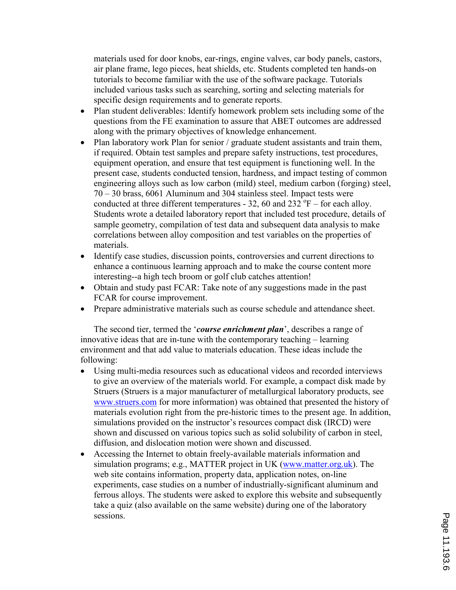materials used for door knobs, ear-rings, engine valves, car body panels, castors, air plane frame, lego pieces, heat shields, etc. Students completed ten hands-on tutorials to become familiar with the use of the software package. Tutorials included various tasks such as searching, sorting and selecting materials for specific design requirements and to generate reports.

- Plan student deliverables: Identify homework problem sets including some of the questions from the FE examination to assure that ABET outcomes are addressed along with the primary objectives of knowledge enhancement.
- Plan laboratory work Plan for senior / graduate student assistants and train them, if required. Obtain test samples and prepare safety instructions, test procedures, equipment operation, and ensure that test equipment is functioning well. In the present case, students conducted tension, hardness, and impact testing of common engineering alloys such as low carbon (mild) steel, medium carbon (forging) steel, 70 – 30 brass, 6061 Aluminum and 304 stainless steel. Impact tests were conducted at three different temperatures - 32, 60 and  $232^{\circ}F$  – for each alloy. Students wrote a detailed laboratory report that included test procedure, details of sample geometry, compilation of test data and subsequent data analysis to make correlations between alloy composition and test variables on the properties of materials.
- Identify case studies, discussion points, controversies and current directions to enhance a continuous learning approach and to make the course content more interesting--a high tech broom or golf club catches attention!
- Obtain and study past FCAR: Take note of any suggestions made in the past FCAR for course improvement.
- Prepare administrative materials such as course schedule and attendance sheet.

The second tier, termed the 'course enrichment plan', describes a range of innovative ideas that are in-tune with the contemporary teaching – learning environment and that add value to materials education. These ideas include the following:

- Using multi-media resources such as educational videos and recorded interviews to give an overview of the materials world. For example, a compact disk made by Struers (Struers is a major manufacturer of metallurgical laboratory products, see www.struers.com for more information) was obtained that presented the history of materials evolution right from the pre-historic times to the present age. In addition, simulations provided on the instructor's resources compact disk (IRCD) were shown and discussed on various topics such as solid solubility of carbon in steel, diffusion, and dislocation motion were shown and discussed.
- Accessing the Internet to obtain freely-available materials information and simulation programs; e.g., MATTER project in UK (www.matter.org.uk). The web site contains information, property data, application notes, on-line experiments, case studies on a number of industrially-significant aluminum and ferrous alloys. The students were asked to explore this website and subsequently take a quiz (also available on the same website) during one of the laboratory sessions.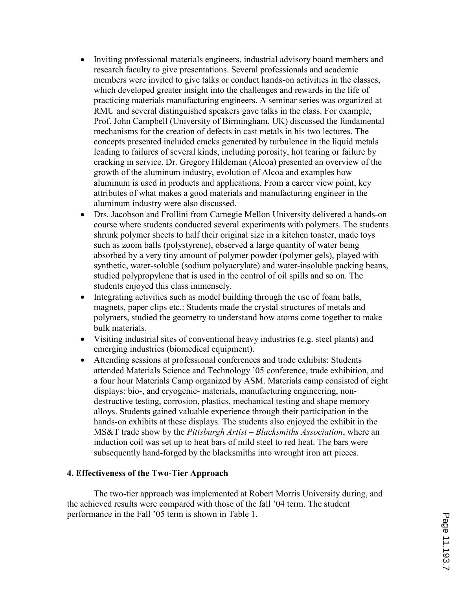- Inviting professional materials engineers, industrial advisory board members and research faculty to give presentations. Several professionals and academic members were invited to give talks or conduct hands-on activities in the classes, which developed greater insight into the challenges and rewards in the life of practicing materials manufacturing engineers. A seminar series was organized at RMU and several distinguished speakers gave talks in the class. For example, Prof. John Campbell (University of Birmingham, UK) discussed the fundamental mechanisms for the creation of defects in cast metals in his two lectures. The concepts presented included cracks generated by turbulence in the liquid metals leading to failures of several kinds, including porosity, hot tearing or failure by cracking in service. Dr. Gregory Hildeman (Alcoa) presented an overview of the growth of the aluminum industry, evolution of Alcoa and examples how aluminum is used in products and applications. From a career view point, key attributes of what makes a good materials and manufacturing engineer in the aluminum industry were also discussed.
- Drs. Jacobson and Frollini from Carnegie Mellon University delivered a hands-on course where students conducted several experiments with polymers. The students shrunk polymer sheets to half their original size in a kitchen toaster, made toys such as zoom balls (polystyrene), observed a large quantity of water being absorbed by a very tiny amount of polymer powder (polymer gels), played with synthetic, water-soluble (sodium polyacrylate) and water-insoluble packing beans, studied polypropylene that is used in the control of oil spills and so on. The students enjoyed this class immensely.
- Integrating activities such as model building through the use of foam balls, magnets, paper clips etc.: Students made the crystal structures of metals and polymers, studied the geometry to understand how atoms come together to make bulk materials.
- Visiting industrial sites of conventional heavy industries (e.g. steel plants) and emerging industries (biomedical equipment).
- Attending sessions at professional conferences and trade exhibits: Students attended Materials Science and Technology '05 conference, trade exhibition, and a four hour Materials Camp organized by ASM. Materials camp consisted of eight displays: bio-, and cryogenic- materials, manufacturing engineering, nondestructive testing, corrosion, plastics, mechanical testing and shape memory alloys. Students gained valuable experience through their participation in the hands-on exhibits at these displays. The students also enjoyed the exhibit in the MS&T trade show by the Pittsburgh Artist – Blacksmiths Association, where an induction coil was set up to heat bars of mild steel to red heat. The bars were subsequently hand-forged by the blacksmiths into wrought iron art pieces.

#### 4. Effectiveness of the Two-Tier Approach

The two-tier approach was implemented at Robert Morris University during, and the achieved results were compared with those of the fall '04 term. The student performance in the Fall '05 term is shown in Table 1.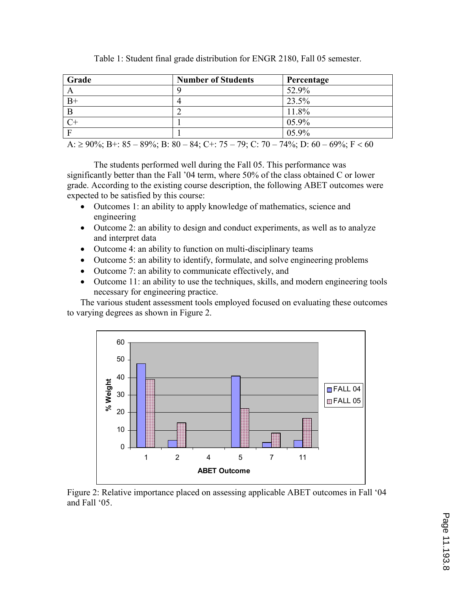| Grade                                                                                  | <b>Number of Students</b> | Percentage |
|----------------------------------------------------------------------------------------|---------------------------|------------|
|                                                                                        |                           | 52.9%      |
| $B+$                                                                                   |                           | 23.5%      |
| B                                                                                      |                           | 11.8%      |
| $C+$                                                                                   |                           | $05.9\%$   |
| $\mathbf F$                                                                            |                           | $05.9\%$   |
| A: $\geq$ 90%; B+: 85 – 89%; B: 80 – 84; C+: 75 – 79; C: 70 – 74%; D: 60 – 69%; F < 60 |                           |            |

Table 1: Student final grade distribution for ENGR 2180, Fall 05 semester.

The students performed well during the Fall 05. This performance was significantly better than the Fall '04 term, where 50% of the class obtained C or lower grade. According to the existing course description, the following ABET outcomes were expected to be satisfied by this course:

- Outcomes 1: an ability to apply knowledge of mathematics, science and engineering
- Outcome 2: an ability to design and conduct experiments, as well as to analyze and interpret data
- Outcome 4: an ability to function on multi-disciplinary teams
- Outcome 5: an ability to identify, formulate, and solve engineering problems
- Outcome 7: an ability to communicate effectively, and
- Outcome 11: an ability to use the techniques, skills, and modern engineering tools necessary for engineering practice.

The various student assessment tools employed focused on evaluating these outcomes to varying degrees as shown in Figure 2.



Figure 2: Relative importance placed on assessing applicable ABET outcomes in Fall '04 and Fall '05.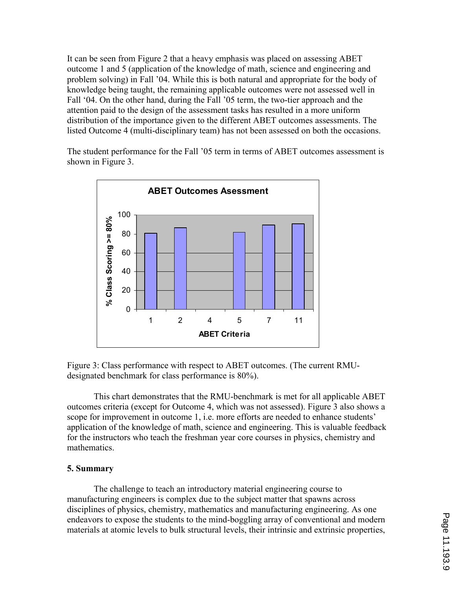It can be seen from Figure 2 that a heavy emphasis was placed on assessing ABET outcome 1 and 5 (application of the knowledge of math, science and engineering and problem solving) in Fall '04. While this is both natural and appropriate for the body of knowledge being taught, the remaining applicable outcomes were not assessed well in Fall '04. On the other hand, during the Fall '05 term, the two-tier approach and the attention paid to the design of the assessment tasks has resulted in a more uniform distribution of the importance given to the different ABET outcomes assessments. The listed Outcome 4 (multi-disciplinary team) has not been assessed on both the occasions.

The student performance for the Fall '05 term in terms of ABET outcomes assessment is shown in Figure 3.



Figure 3: Class performance with respect to ABET outcomes. (The current RMUdesignated benchmark for class performance is 80%).

This chart demonstrates that the RMU-benchmark is met for all applicable ABET outcomes criteria (except for Outcome 4, which was not assessed). Figure 3 also shows a scope for improvement in outcome 1, i.e. more efforts are needed to enhance students' application of the knowledge of math, science and engineering. This is valuable feedback for the instructors who teach the freshman year core courses in physics, chemistry and mathematics.

## 5. Summary

The challenge to teach an introductory material engineering course to manufacturing engineers is complex due to the subject matter that spawns across disciplines of physics, chemistry, mathematics and manufacturing engineering. As one endeavors to expose the students to the mind-boggling array of conventional and modern materials at atomic levels to bulk structural levels, their intrinsic and extrinsic properties,